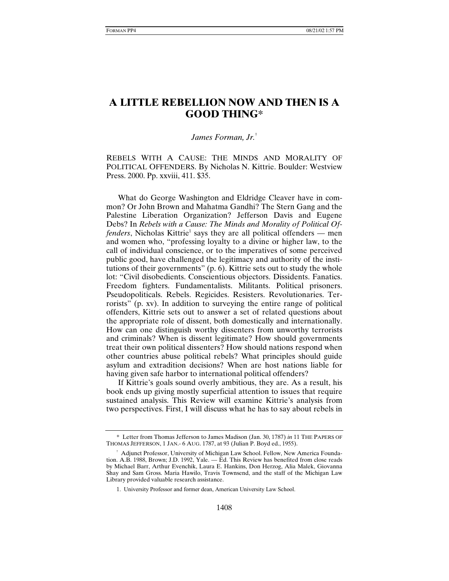# **A LITTLE REBELLION NOW AND THEN IS A GOOD THING\***

## *James Forman, Jr.*†

REBELS WITH A CAUSE: THE MINDS AND MORALITY OF POLITICAL OFFENDERS. By Nicholas N. Kittrie. Boulder: Westview Press. 2000. Pp. xxviii, 411. \$35.

What do George Washington and Eldridge Cleaver have in common? Or John Brown and Mahatma Gandhi? The Stern Gang and the Palestine Liberation Organization? Jefferson Davis and Eugene Debs? In *Rebels with a Cause: The Minds and Morality of Political Of*fenders, Nicholas Kittrie<sup>1</sup> says they are all political offenders — men and women who, "professing loyalty to a divine or higher law, to the call of individual conscience, or to the imperatives of some perceived public good, have challenged the legitimacy and authority of the institutions of their governments" (p. 6). Kittrie sets out to study the whole lot: "Civil disobedients. Conscientious objectors. Dissidents. Fanatics. Freedom fighters. Fundamentalists. Militants. Political prisoners. Pseudopoliticals. Rebels. Regicides. Resisters. Revolutionaries. Terrorists" (p. xv). In addition to surveying the entire range of political offenders, Kittrie sets out to answer a set of related questions about the appropriate role of dissent, both domestically and internationally. How can one distinguish worthy dissenters from unworthy terrorists and criminals? When is dissent legitimate? How should governments treat their own political dissenters? How should nations respond when other countries abuse political rebels? What principles should guide asylum and extradition decisions? When are host nations liable for having given safe harbor to international political offenders?

If Kittrie's goals sound overly ambitious, they are. As a result, his book ends up giving mostly superficial attention to issues that require sustained analysis. This Review will examine Kittrie's analysis from two perspectives. First, I will discuss what he has to say about rebels in

<sup>\*</sup> Letter from Thomas Jefferson to James Madison (Jan. 30, 1787) *in* 11 THE PAPERS OF THOMAS JEFFERSON, 1 JAN.- 6 AUG. 1787, at 93 (Julian P. Boyd ed., 1955).

<sup>†</sup> Adjunct Professor, University of Michigan Law School. Fellow, New America Foundation. A.B. 1988, Brown; J.D. 1992, Yale. — Ed. This Review has benefited from close reads by Michael Barr, Arthur Evenchik, Laura E. Hankins, Don Herzog, Alia Malek, Giovanna Shay and Sam Gross. Maria Hawilo, Travis Townsend, and the staff of the Michigan Law Library provided valuable research assistance.

<sup>1</sup>. University Professor and former dean, American University Law School.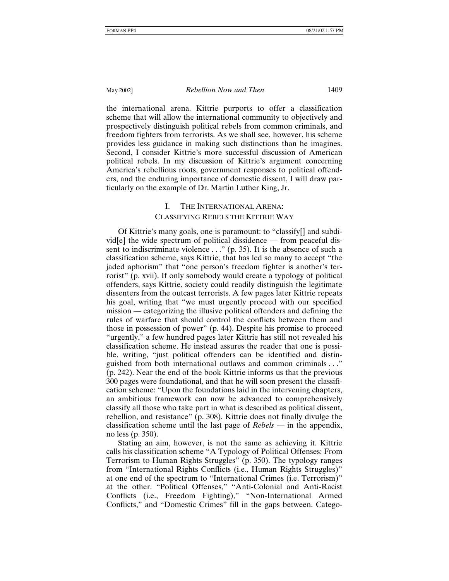the international arena. Kittrie purports to offer a classification scheme that will allow the international community to objectively and prospectively distinguish political rebels from common criminals, and freedom fighters from terrorists. As we shall see, however, his scheme provides less guidance in making such distinctions than he imagines. Second, I consider Kittrie's more successful discussion of American political rebels. In my discussion of Kittrie's argument concerning America's rebellious roots, government responses to political offenders, and the enduring importance of domestic dissent, I will draw particularly on the example of Dr. Martin Luther King, Jr.

## I. THE INTERNATIONAL ARENA: CLASSIFYING REBELS THE KITTRIE WAY

Of Kittrie's many goals, one is paramount: to "classify[] and subdivid[e] the wide spectrum of political dissidence — from peaceful dissent to indiscriminate violence . . ." (p. 35). It is the absence of such a classification scheme, says Kittrie, that has led so many to accept "the jaded aphorism" that "one person's freedom fighter is another's terrorist" (p. xvii). If only somebody would create a typology of political offenders, says Kittrie, society could readily distinguish the legitimate dissenters from the outcast terrorists. A few pages later Kittrie repeats his goal, writing that "we must urgently proceed with our specified mission — categorizing the illusive political offenders and defining the rules of warfare that should control the conflicts between them and those in possession of power" (p. 44). Despite his promise to proceed "urgently," a few hundred pages later Kittrie has still not revealed his classification scheme. He instead assures the reader that one is possible, writing, "just political offenders can be identified and distinguished from both international outlaws and common criminals . . ." (p. 242). Near the end of the book Kittrie informs us that the previous 300 pages were foundational, and that he will soon present the classification scheme: "Upon the foundations laid in the intervening chapters, an ambitious framework can now be advanced to comprehensively classify all those who take part in what is described as political dissent, rebellion, and resistance" (p. 308). Kittrie does not finally divulge the classification scheme until the last page of *Rebels* — in the appendix, no less (p. 350).

Stating an aim, however, is not the same as achieving it. Kittrie calls his classification scheme "A Typology of Political Offenses: From Terrorism to Human Rights Struggles" (p. 350). The typology ranges from "International Rights Conflicts (i.e., Human Rights Struggles)" at one end of the spectrum to "International Crimes (i.e. Terrorism)" at the other. "Political Offenses," "Anti-Colonial and Anti-Racist Conflicts (i.e., Freedom Fighting)," "Non-International Armed Conflicts," and "Domestic Crimes" fill in the gaps between. Catego-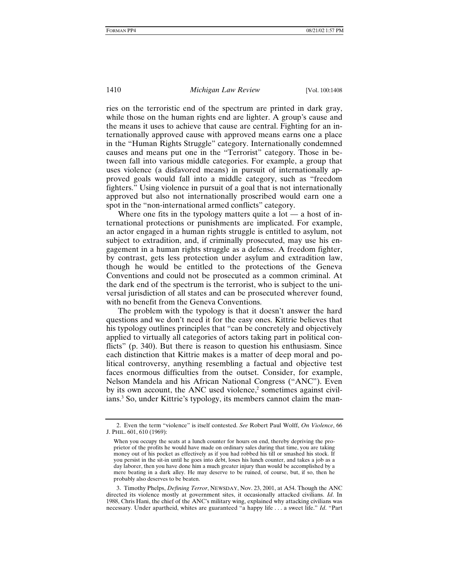ries on the terroristic end of the spectrum are printed in dark gray, while those on the human rights end are lighter. A group's cause and the means it uses to achieve that cause are central. Fighting for an internationally approved cause with approved means earns one a place in the "Human Rights Struggle" category. Internationally condemned causes and means put one in the "Terrorist" category. Those in between fall into various middle categories. For example, a group that uses violence (a disfavored means) in pursuit of internationally approved goals would fall into a middle category, such as "freedom fighters." Using violence in pursuit of a goal that is not internationally approved but also not internationally proscribed would earn one a spot in the "non-international armed conflicts" category.

Where one fits in the typology matters quite a  $\text{lot} - \text{a}$  host of international protections or punishments are implicated. For example, an actor engaged in a human rights struggle is entitled to asylum, not subject to extradition, and, if criminally prosecuted, may use his engagement in a human rights struggle as a defense. A freedom fighter, by contrast, gets less protection under asylum and extradition law, though he would be entitled to the protections of the Geneva Conventions and could not be prosecuted as a common criminal. At the dark end of the spectrum is the terrorist, who is subject to the universal jurisdiction of all states and can be prosecuted wherever found, with no benefit from the Geneva Conventions.

The problem with the typology is that it doesn't answer the hard questions and we don't need it for the easy ones. Kittrie believes that his typology outlines principles that "can be concretely and objectively applied to virtually all categories of actors taking part in political conflicts" (p. 340). But there is reason to question his enthusiasm. Since each distinction that Kittrie makes is a matter of deep moral and political controversy, anything resembling a factual and objective test faces enormous difficulties from the outset. Consider, for example, Nelson Mandela and his African National Congress ("ANC"). Even by its own account, the ANC used violence, $2$  sometimes against civilians.<sup>3</sup> So, under Kittrie's typology, its members cannot claim the man-

<sup>2.</sup> Even the term "violence" is itself contested. *See* Robert Paul Wolff, *On Violence*, 66 J. PHIL. 601, 610 (1969):

When you occupy the seats at a lunch counter for hours on end, thereby depriving the proprietor of the profits he would have made on ordinary sales during that time, you are taking money out of his pocket as effectively as if you had robbed his till or smashed his stock. If you persist in the sit-in until he goes into debt, loses his lunch counter, and takes a job as a day laborer, then you have done him a much greater injury than would be accomplished by a mere beating in a dark alley. He may deserve to be ruined, of course, but, if so, then he probably also deserves to be beaten.

<sup>3.</sup> Timothy Phelps, *Defining Terror*, NEWSDAY, Nov. 23, 2001, at A54. Though the ANC directed its violence mostly at government sites, it occasionally attacked civilians. *Id*. In 1988, Chris Hani, the chief of the ANC's military wing, explained why attacking civilians was necessary. Under apartheid, whites are guaranteed "a happy life . . . a sweet life." *Id*. "Part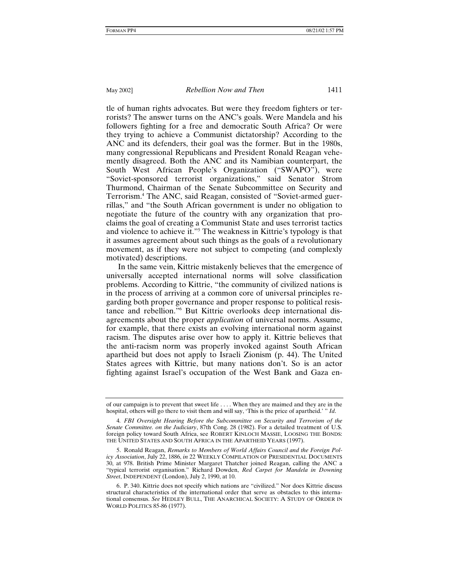tle of human rights advocates. But were they freedom fighters or terrorists? The answer turns on the ANC's goals. Were Mandela and his followers fighting for a free and democratic South Africa? Or were they trying to achieve a Communist dictatorship? According to the ANC and its defenders, their goal was the former. But in the 1980s, many congressional Republicans and President Ronald Reagan vehemently disagreed. Both the ANC and its Namibian counterpart, the South West African People's Organization ("SWAPO"), were "Soviet-sponsored terrorist organizations," said Senator Strom Thurmond, Chairman of the Senate Subcommittee on Security and Terrorism.4 The ANC, said Reagan, consisted of "Soviet-armed guerrillas," and "the South African government is under no obligation to negotiate the future of the country with any organization that proclaims the goal of creating a Communist State and uses terrorist tactics and violence to achieve it."<sup>5</sup> The weakness in Kittrie's typology is that it assumes agreement about such things as the goals of a revolutionary movement, as if they were not subject to competing (and complexly motivated) descriptions.

In the same vein, Kittrie mistakenly believes that the emergence of universally accepted international norms will solve classification problems. According to Kittrie, "the community of civilized nations is in the process of arriving at a common core of universal principles regarding both proper governance and proper response to political resistance and rebellion."6 But Kittrie overlooks deep international disagreements about the proper *application* of universal norms. Assume, for example, that there exists an evolving international norm against racism. The disputes arise over how to apply it. Kittrie believes that the anti-racism norm was properly invoked against South African apartheid but does not apply to Israeli Zionism (p. 44). The United States agrees with Kittrie, but many nations don't. So is an actor fighting against Israel's occupation of the West Bank and Gaza en-

of our campaign is to prevent that sweet life . . . . When they are maimed and they are in the hospital, others will go there to visit them and will say, 'This is the price of apartheid.' " *Id*.

<sup>4</sup>*. FBI Oversight Hearing Before the Subcommittee on Security and Terrorism of the Senate Committee. on the Judiciary*, 87th Cong. 28 (1982). For a detailed treatment of U.S. foreign policy toward South Africa, see ROBERT KINLOCH MASSIE, LOOSING THE BONDS: THE UNITED STATES AND SOUTH AFRICA IN THE APARTHEID YEARS (1997).

<sup>5.</sup> Ronald Reagan, *Remarks to Members of World Affairs Council and the Foreign Policy Association*, July 22, 1886, *in* 22 WEEKLY COMPILATION OF PRESIDENTIAL DOCUMENTS 30, at 978. British Prime Minister Margaret Thatcher joined Reagan, calling the ANC a "typical terrorist organisation." Richard Dowden, *Red Carpet for Mandela in Downing Street*, INDEPENDENT (London), July 2, 1990, at 10.

<sup>6.</sup> P. 340. Kittrie does not specify which nations are "civilized." Nor does Kittrie discuss structural characteristics of the international order that serve as obstacles to this international consensus. *See* HEDLEY BULL, THE ANARCHICAL SOCIETY: A STUDY OF ORDER IN WORLD POLITICS 85-86 (1977).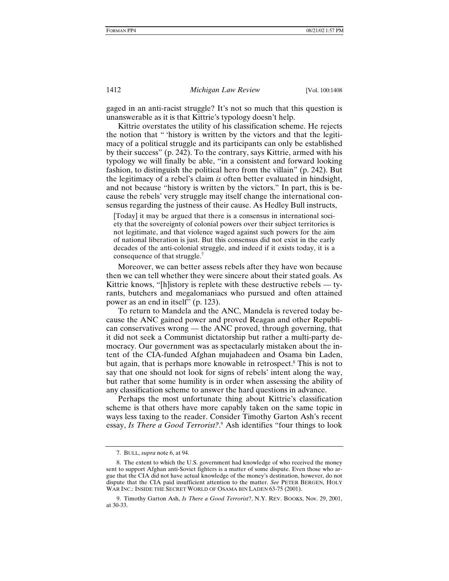gaged in an anti-racist struggle? It's not so much that this question is unanswerable as it is that Kittrie's typology doesn't help.

Kittrie overstates the utility of his classification scheme. He rejects the notion that " 'history is written by the victors and that the legitimacy of a political struggle and its participants can only be established by their success" (p. 242). To the contrary, says Kittrie, armed with his typology we will finally be able, "in a consistent and forward looking fashion, to distinguish the political hero from the villain" (p. 242). But the legitimacy of a rebel's claim *is* often better evaluated in hindsight, and not because "history is written by the victors." In part, this is because the rebels' very struggle may itself change the international consensus regarding the justness of their cause. As Hedley Bull instructs,

[Today] it may be argued that there is a consensus in international society that the sovereignty of colonial powers over their subject territories is not legitimate, and that violence waged against such powers for the aim of national liberation is just. But this consensus did not exist in the early decades of the anti-colonial struggle, and indeed if it exists today, it is a consequence of that struggle.<sup>7</sup>

Moreover, we can better assess rebels after they have won because then we can tell whether they were sincere about their stated goals. As Kittrie knows, "[h]istory is replete with these destructive rebels — tyrants, butchers and megalomaniacs who pursued and often attained power as an end in itself" (p. 123).

To return to Mandela and the ANC, Mandela is revered today because the ANC gained power and proved Reagan and other Republican conservatives wrong — the ANC proved, through governing, that it did not seek a Communist dictatorship but rather a multi-party democracy. Our government was as spectacularly mistaken about the intent of the CIA-funded Afghan mujahadeen and Osama bin Laden, but again, that is perhaps more knowable in retrospect.<sup>8</sup> This is not to say that one should not look for signs of rebels' intent along the way, but rather that some humility is in order when assessing the ability of any classification scheme to answer the hard questions in advance.

Perhaps the most unfortunate thing about Kittrie's classification scheme is that others have more capably taken on the same topic in ways less taxing to the reader. Consider Timothy Garton Ash's recent essay, *Is There a Good Terrorist*?.<sup>9</sup> Ash identifies "four things to look

<sup>7.</sup> BULL, *supra* note 6, at 94.

<sup>8.</sup> The extent to which the U.S. government had knowledge of who received the money sent to support Afghan anti-Soviet fighters is a matter of some dispute. Even those who argue that the CIA did not have actual knowledge of the money's destination, however, do not dispute that the CIA paid insufficient attention to the matter. *See* PETER BERGEN, HOLY WAR INC.: INSIDE THE SECRET WORLD OF OSAMA BIN LADEN 63-75 (2001).

<sup>9.</sup> Timothy Garton Ash, *Is There a Good Terrorist*?, N.Y. REV. BOOKS, Nov. 29, 2001, at 30-33.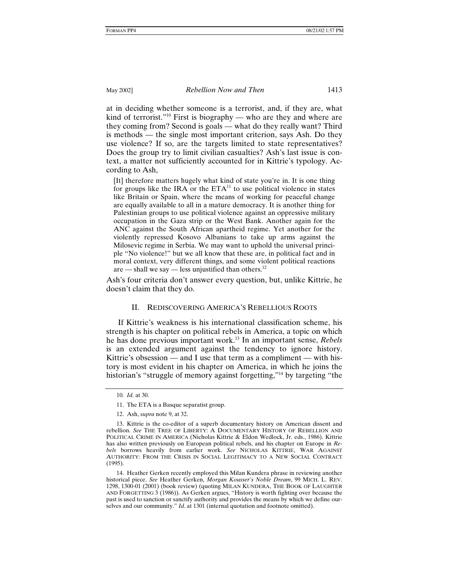at in deciding whether someone is a terrorist, and, if they are, what kind of terrorist."<sup>10</sup> First is biography — who are they and where are they coming from? Second is goals — what do they really want? Third is methods — the single most important criterion, says Ash. Do they use violence? If so, are the targets limited to state representatives? Does the group try to limit civilian casualties? Ash's last issue is context, a matter not sufficiently accounted for in Kittrie's typology. According to Ash,

[It] therefore matters hugely what kind of state you're in. It is one thing for groups like the IRA or the  $ETA<sup>11</sup>$  to use political violence in states like Britain or Spain, where the means of working for peaceful change are equally available to all in a mature democracy. It is another thing for Palestinian groups to use political violence against an oppressive military occupation in the Gaza strip or the West Bank. Another again for the ANC against the South African apartheid regime. Yet another for the violently repressed Kosovo Albanians to take up arms against the Milosevic regime in Serbia. We may want to uphold the universal principle "No violence!" but we all know that these are, in political fact and in moral context, very different things, and some violent political reactions are — shall we say — less unjustified than others.<sup>12</sup>

Ash's four criteria don't answer every question, but, unlike Kittrie, he doesn't claim that they do.

#### II. REDISCOVERING AMERICA'S REBELLIOUS ROOTS

If Kittrie's weakness is his international classification scheme, his strength is his chapter on political rebels in America, a topic on which he has done previous important work.13 In an important sense, *Rebels* is an extended argument against the tendency to ignore history. Kittrie's obsession — and I use that term as a compliment — with history is most evident in his chapter on America, in which he joins the historian's "struggle of memory against forgetting,"<sup>14</sup> by targeting "the

<sup>10</sup>*. Id.* at 30.

<sup>11.</sup> The ETA is a Basque separatist group.

<sup>12.</sup> Ash, *supra* note 9, at 32.

<sup>13.</sup> Kittrie is the co-editor of a superb documentary history on American dissent and rebellion. *See* THE TREE OF LIBERTY: A DOCUMENTARY HISTORY OF REBELLION AND POLITICAL CRIME IN AMERICA (Nicholas Kittrie & Eldon Wedlock, Jr. eds., 1986). Kittrie has also written previously on European political rebels, and his chapter on Europe in *Rebels* borrows heavily from earlier work. *See* NICHOLAS KITTRIE, WAR AGAINST AUTHORITY: FROM THE CRISIS IN SOCIAL LEGITIMACY TO A NEW SOCIAL CONTRACT (1995).

<sup>14.</sup> Heather Gerken recently employed this Milan Kundera phrase in reviewing another historical piece. *See* Heather Gerken, *Morgan Kousser's Noble Dream*, 99 MICH. L. REV. 1298, 1300-01 (2001) (book review) (quoting MILAN KUNDERA, THE BOOK OF LAUGHTER AND FORGETTING 3 (1986)). As Gerken argues, "History is worth fighting over because the past is used to sanction or sanctify authority and provides the means by which we define ourselves and our community." *Id*. at 1301 (internal quotation and footnote omitted).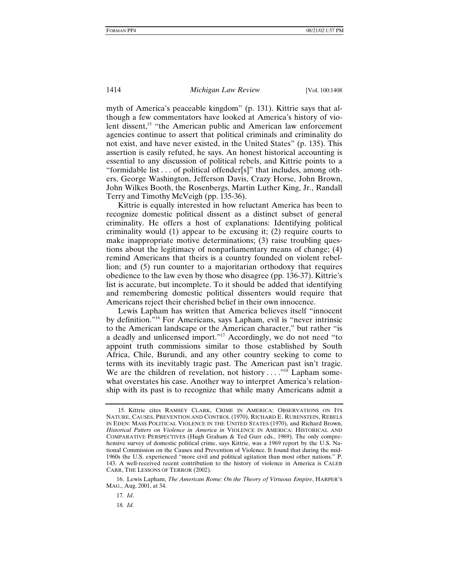myth of America's peaceable kingdom" (p. 131). Kittrie says that although a few commentators have looked at America's history of violent dissent,<sup>15</sup> "the American public and American law enforcement agencies continue to assert that political criminals and criminality do not exist, and have never existed, in the United States" (p. 135). This assertion is easily refuted, he says. An honest historical accounting is essential to any discussion of political rebels, and Kittrie points to a "formidable list . . . of political offender[s]" that includes, among others, George Washington, Jefferson Davis, Crazy Horse, John Brown, John Wilkes Booth, the Rosenbergs, Martin Luther King, Jr., Randall Terry and Timothy McVeigh (pp. 135-36).

Kittrie is equally interested in how reluctant America has been to recognize domestic political dissent as a distinct subset of general criminality. He offers a host of explanations: Identifying political criminality would  $(1)$  appear to be excusing it;  $(2)$  require courts to make inappropriate motive determinations; (3) raise troubling questions about the legitimacy of nonparliamentary means of change; (4) remind Americans that theirs is a country founded on violent rebellion; and (5) run counter to a majoritarian orthodoxy that requires obedience to the law even by those who disagree (pp. 136-37). Kittrie's list is accurate, but incomplete. To it should be added that identifying and remembering domestic political dissenters would require that Americans reject their cherished belief in their own innocence.

Lewis Lapham has written that America believes itself "innocent by definition."16 For Americans, says Lapham, evil is "never intrinsic to the American landscape or the American character," but rather "is a deadly and unlicensed import."<sup>17</sup> Accordingly, we do not need "to appoint truth commissions similar to those established by South Africa, Chile, Burundi, and any other country seeking to come to terms with its inevitably tragic past. The American past isn't tragic. We are the children of revelation, not history  $\dots$ ."<sup>18</sup> Lapham somewhat overstates his case. Another way to interpret America's relationship with its past is to recognize that while many Americans admit a

 <sup>15.</sup> Kittrie cites RAMSEY CLARK, CRIME IN AMERICA: OBSERVATIONS ON ITS NATURE, CAUSES, PREVENTION AND CONTROL (1970), RICHARD E. RUBENSTEIN, REBELS IN EDEN: MASS POLITICAL VIOLENCE IN THE UNITED STATES (1970), and Richard Brown, *Historical Patters on Violence in America in* VIOLENCE IN AMERICA: HISTORICAL AND COMPARATIVE PERSPECTIVES (Hugh Graham & Ted Gurr eds., 1969). The only comprehensive survey of domestic political crime, says Kittrie, was a 1969 report by the U.S. National Commission on the Causes and Prevention of Violence. It found that during the mid-1960s the U.S. experienced "more civil and political agitation than most other nations." P. 143. A well-received recent contribution to the history of violence in America is CALEB CARR, THE LESSONS OF TERROR (2002).

<sup>16.</sup> Lewis Lapham, *The American Rome: On the Theory of Virtuous Empire*, HARPER'S MAG., Aug. 2001, at 34.

<sup>17</sup>*. Id*.

<sup>18</sup>*. Id.*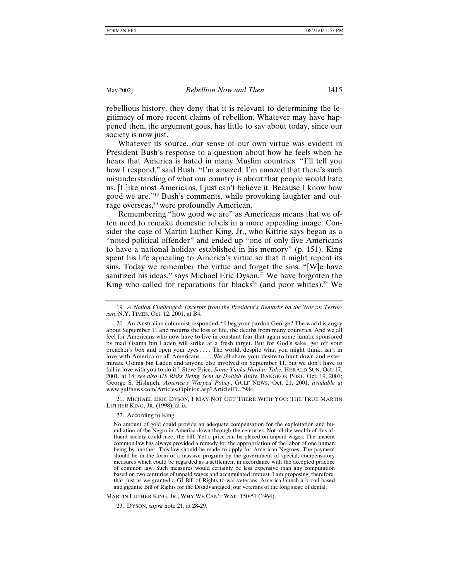rebellious history, they deny that it is relevant to determining the legitimacy of more recent claims of rebellion. Whatever may have happened then, the argument goes, has little to say about today, since our society is now just.

Whatever its source, our sense of our own virtue was evident in President Bush's response to a question about how he feels when he hears that America is hated in many Muslim countries. "I'll tell you how I respond," said Bush. "I'm amazed. I'm amazed that there's such misunderstanding of what our country is about that people would hate us. [L]ike most Americans, I just can't believe it. Because I know how good we are."19 Bush's comments, while provoking laughter and outrage overseas, $20$  were profoundly American.

Remembering "how good we are" as Americans means that we often need to remake domestic rebels in a more appealing image. Consider the case of Martin Luther King, Jr., who Kittrie says began as a "noted political offender" and ended up "one of only five Americans to have a national holiday established in his memory" (p. 151). King spent his life appealing to America's virtue so that it might repent its sins. Today we remember the virtue and forget the sins. "[W]e have sanitized his ideas," says Michael Eric Dyson.<sup>21</sup> We have forgotten the King who called for reparations for blacks<sup>22</sup> (and poor whites).<sup>23</sup> We

21. MICHAEL ERIC DYSON, I MAY NOT GET THERE WITH YOU: THE TRUE MARTIN LUTHER KING, JR. (1998), at ix.

22. According to King,

No amount of gold could provide an adequate compensation for the exploitation and humiliation of the Negro in America down through the centuries. Not all the wealth of this affluent society could meet the bill. Yet a price can be placed on unpaid wages. The ancient common law has always provided a remedy for the appropriation of the labor of one human being by another. This law should be made to apply for American Negroes. The payment should be in the form of a massive program by the government of special, compensatory measures which could be regarded as a settlement in accordance with the accepted practice of common law. Such measures would certainly be less expensive than any computation based on two centuries of unpaid wages and accumulated interest. I am proposing, therefore, that, just as we granted a GI Bill of Rights to war veterans, America launch a broad-based and gigantic Bill of Rights for the Disadvantaged, our veterans of the long siege of denial.

MARTIN LUTHER KING, JR., WHY WE CAN'T WAIT 150-51 (1964).

23. DYSON, *supra* note 21, at 28-29.

<sup>19</sup>*. A Nation Challenged: Excerpts from the President's Remarks on the War on Terrorism*, N.Y. TIMES, Oct. 12, 2001, at B4.

<sup>20.</sup> An Australian columnist responded, "I beg your pardon George? The world is angry about September 11 and mourns the loss of life, the deaths from many countries. And we all feel for Americans who now have to live in constant fear that again some lunatic sponsored by mad Osama bin Laden will strike at a fresh target. But for God's sake, get off your preacher's box and open your eyes . . . . The world, despite what you might think, isn't in love with America or all Americans . . . . We all share your desire to hunt down and exterminate Osama bin Laden and anyone else involved on September 11, but we don't have to fall in love with you to do it." Steve Price, *Some Yanks Hard to Take*, HERALD SUN, Oct. 17, 2001, at 18; *see also US Risks Being Seen as Doltish Bully*, BANGKOK POST, Oct. 19, 2001; George S. Hishmeh, *America's Warped Policy*, GULF NEWS, Oct. 21, 2001, *available at* www.gulfnews.com/Articles/Opinion.asp?ArticleID=2984.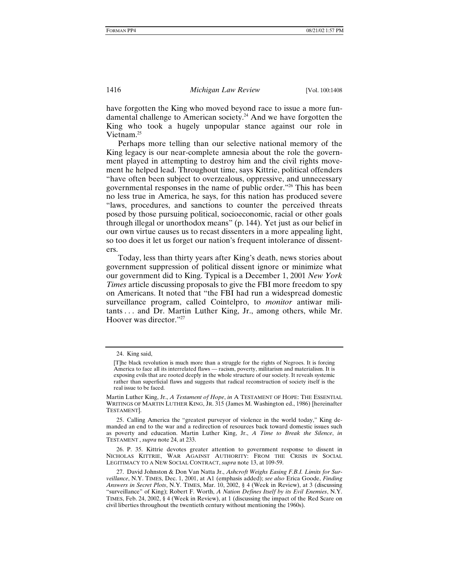have forgotten the King who moved beyond race to issue a more fundamental challenge to American society.<sup>24</sup> And we have forgotten the King who took a hugely unpopular stance against our role in Vietnam.<sup>25</sup>

Perhaps more telling than our selective national memory of the King legacy is our near-complete amnesia about the role the government played in attempting to destroy him and the civil rights movement he helped lead. Throughout time, says Kittrie, political offenders "have often been subject to overzealous, oppressive, and unnecessary governmental responses in the name of public order."26 This has been no less true in America, he says, for this nation has produced severe "laws, procedures, and sanctions to counter the perceived threats posed by those pursuing political, socioeconomic, racial or other goals through illegal or unorthodox means" (p. 144). Yet just as our belief in our own virtue causes us to recast dissenters in a more appealing light, so too does it let us forget our nation's frequent intolerance of dissenters.

Today, less than thirty years after King's death, news stories about government suppression of political dissent ignore or minimize what our government did to King. Typical is a December 1, 2001 *New York Times* article discussing proposals to give the FBI more freedom to spy on Americans. It noted that "the FBI had run a widespread domestic surveillance program, called Cointelpro, to *monitor* antiwar militants . . . and Dr. Martin Luther King, Jr., among others, while Mr. Hoover was director."27

<sup>24.</sup> King said,

<sup>[</sup>T]he black revolution is much more than a struggle for the rights of Negroes. It is forcing America to face all its interrelated flaws — racism, poverty, militarism and materialism. It is exposing evils that are rooted deeply in the whole structure of our society. It reveals systemic rather than superficial flaws and suggests that radical reconstruction of society itself is the real issue to be faced.

Martin Luther King, Jr., *A Testament of Hope*, *in* A TESTAMENT OF HOPE: THE ESSENTIAL WRITINGS OF MARTIN LUTHER KING, JR. 315 (James M. Washington ed., 1986) [hereinafter TESTAMENT].

<sup>25.</sup> Calling America the "greatest purveyor of violence in the world today," King demanded an end to the war and a redirection of resources back toward domestic issues such as poverty and education. Martin Luther King, Jr., *A Time to Break the Silence*, *in* TESTAMENT , *supra* note 24, at 233.

<sup>26.</sup> P. 35. Kittrie devotes greater attention to government response to dissent in NICHOLAS KITTRIE, WAR AGAINST AUTHORITY: FROM THE CRISIS IN SOCIAL LEGITIMACY TO A NEW SOCIAL CONTRACT, *supra* note 13, at 109-59.

<sup>27.</sup> David Johnston & Don Van Natta Jr., *Ashcroft Weighs Easing F.B.I. Limits for Surveillance*, N.Y. TIMES, Dec. 1, 2001, at A1 (emphasis added); *see also* Erica Goode, *Finding Answers in Secret Plots*, N.Y. TIMES, Mar. 10, 2002, § 4 (Week in Review), at 3 (discussing "surveillance" of King); Robert F. Worth, *A Nation Defines Itself by its Evil Enemies*, N.Y. TIMES, Feb. 24, 2002, § 4 (Week in Review), at 1 (discussing the impact of the Red Scare on civil liberties throughout the twentieth century without mentioning the 1960s).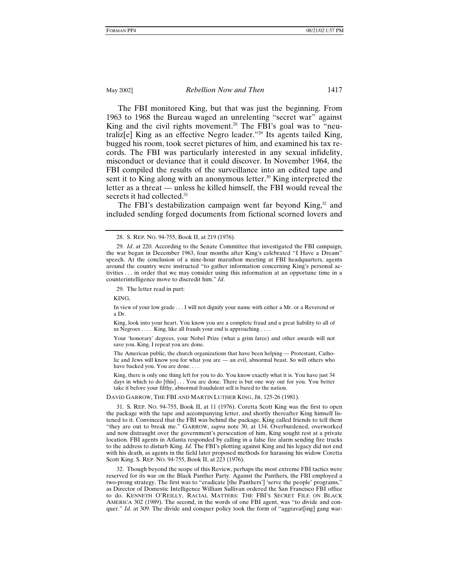The FBI monitored King, but that was just the beginning. From 1963 to 1968 the Bureau waged an unrelenting "secret war" against King and the civil rights movement.<sup>28</sup> The FBI's goal was to "neutraliz[e] King as an effective Negro leader."29 Its agents tailed King, bugged his room, took secret pictures of him, and examined his tax records. The FBI was particularly interested in any sexual infidelity, misconduct or deviance that it could discover. In November 1964, the FBI compiled the results of the surveillance into an edited tape and sent it to King along with an anonymous letter.<sup>30</sup> King interpreted the letter as a threat — unless he killed himself, the FBI would reveal the secrets it had collected.<sup>31</sup>

The FBI's destabilization campaign went far beyond King, $32$  and included sending forged documents from fictional scorned lovers and

29. The letter read in part:

KING,

In view of your low grade . . . I will not dignify your name with either a Mr. or a Reverend or a Dr.

King, look into your heart. You know you are a complete fraud and a great liability to all of us Negroes . . . . King, like all frauds your end is approaching . . . .

Your 'honorary' degrees, your Nobel Prize (what a grim farce) and other awards will not save you. King, I repeat you are done.

The American public, the church organizations that have been helping — Protestant, Catholic and Jews will know you for what you are — an evil, abnormal beast. So will others who have backed you. You are done...

King, there is only one thing left for you to do. You know exactly what it is. You have just 34 days in which to do [this] . . . You are done. There is but one way out for you. You better take it before your filthy, abnormal fraudulent self is bared to the nation.

#### DAVID GARROW, THE FBI AND MARTIN LUTHER KING, JR. 125-26 (1981).

31. S. REP. NO. 94-755, Book II, at 11 (1976). Coretta Scott King was the first to open the package with the tape and accompanying letter, and shortly thereafter King himself listened to it. Convinced that the FBI was behind the package, King called friends to tell them "they are out to break me." GARROW, *supra* note 30, at 134. Overburdened, overworked and now distraught over the government's persecution of him, King sought rest at a private location. FBI agents in Atlanta responded by calling in a false fire alarm sending fire trucks to the address to disturb King. *Id*. The FBI's plotting against King and his legacy did not end with his death, as agents in the field later proposed methods for harassing his widow Coretta Scott King. S. REP. NO. 94-755, Book II, at 223 (1976).

32. Though beyond the scope of this Review, perhaps the most extreme FBI tactics were reserved for its war on the Black Panther Party. Against the Panthers, the FBI employed a two-prong strategy. The first was to "eradicate [the Panthers'] 'serve the people' programs," as Director of Domestic Intelligence William Sullivan ordered the San Francisco FBI office to do. KENNETH O'REILLY, RACIAL MATTERS: THE FBI'S SECRET FILE ON BLACK AMERICA 302 (1989). The second, in the words of one FBI agent, was "to divide and conquer." *Id.* at 309. The divide and conquer policy took the form of "aggravat[ing] gang war-

<sup>28.</sup> S. REP. NO. 94-755, Book II, at 219 (1976).

<sup>29</sup>*. Id*. at 220. According to the Senate Committee that investigated the FBI campaign, the war began in December 1963, four months after King's celebrated "I Have a Dream" speech. At the conclusion of a nine-hour marathon meeting at FBI headquarters, agents around the country were instructed "to gather information concerning King's personal activities . . . in order that we may consider using this information at an opportune time in a counterintelligence move to discredit him." *Id*.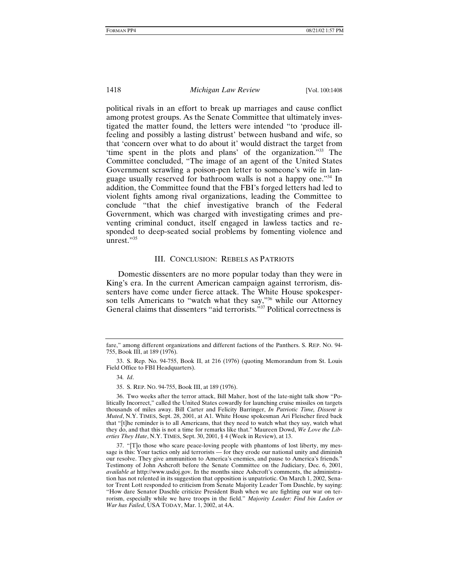political rivals in an effort to break up marriages and cause conflict among protest groups. As the Senate Committee that ultimately investigated the matter found, the letters were intended "to 'produce illfeeling and possibly a lasting distrust' between husband and wife, so that 'concern over what to do about it' would distract the target from 'time spent in the plots and plans' of the organization."33 The Committee concluded, "The image of an agent of the United States Government scrawling a poison-pen letter to someone's wife in language usually reserved for bathroom walls is not a happy one."34 In addition, the Committee found that the FBI's forged letters had led to violent fights among rival organizations, leading the Committee to conclude "that the chief investigative branch of the Federal Government, which was charged with investigating crimes and preventing criminal conduct, itself engaged in lawless tactics and responded to deep-seated social problems by fomenting violence and unrest."<sup>35</sup>

#### III. CONCLUSION: REBELS AS PATRIOTS

Domestic dissenters are no more popular today than they were in King's era. In the current American campaign against terrorism, dissenters have come under fierce attack. The White House spokesperson tells Americans to "watch what they say,"<sup>36</sup> while our Attorney General claims that dissenters "aid terrorists."<sup>37</sup> Political correctness is

fare," among different organizations and different factions of the Panthers. S. REP. NO. 94- 755, Book III, at 189 (1976).

<sup>33.</sup> S. Rep. No. 94-755, Book II, at 216 (1976) (quoting Memorandum from St. Louis Field Office to FBI Headquarters).

<sup>34</sup>*. Id*.

<sup>35.</sup> S. REP. NO. 94-755, Book III, at 189 (1976).

<sup>36.</sup> Two weeks after the terror attack, Bill Maher, host of the late-night talk show "Politically Incorrect," called the United States cowardly for launching cruise missiles on targets thousands of miles away. Bill Carter and Felicity Barringer, *In Patriotic Time, Dissent is Muted*, N.Y. TIMES, Sept. 28, 2001, at A1. White House spokesman Ari Fleischer fired back that "[t]he reminder is to all Americans, that they need to watch what they say, watch what they do, and that this is not a time for remarks like that." Maureen Dowd, *We Love the Liberties They Hate*, N.Y. TIMES, Sept. 30, 2001, § 4 (Week in Review), at 13.

<sup>37. &</sup>quot;[T]o those who scare peace-loving people with phantoms of lost liberty, my message is this: Your tactics only aid terrorists — for they erode our national unity and diminish our resolve. They give ammunition to America's enemies, and pause to America's friends." Testimony of John Ashcroft before the Senate Committee on the Judiciary, Dec. 6, 2001, *available at* http://www.usdoj.gov. In the months since Ashcroft's comments, the administration has not relented in its suggestion that opposition is unpatriotic. On March 1, 2002, Senator Trent Lott responded to criticism from Senate Majority Leader Tom Daschle, by saying: "How dare Senator Daschle criticize President Bush when we are fighting our war on terrorism, especially while we have troops in the field." *Majority Leader: Find bin Laden or War has Failed*, USA TODAY, Mar. 1, 2002, at 4A.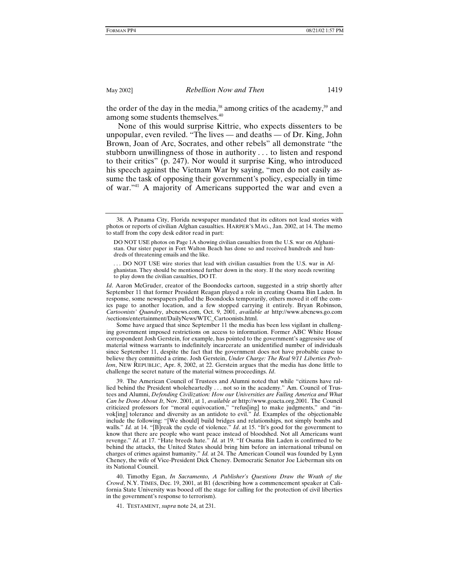the order of the day in the media, $38$  among critics of the academy, $39$  and among some students themselves.40

None of this would surprise Kittrie, who expects dissenters to be unpopular, even reviled. "The lives — and deaths — of Dr. King, John Brown, Joan of Arc, Socrates, and other rebels" all demonstrate "the stubborn unwillingness of those in authority . . . to listen and respond to their critics" (p. 247). Nor would it surprise King, who introduced his speech against the Vietnam War by saying, "men do not easily assume the task of opposing their government's policy, especially in time of war."41 A majority of Americans supported the war and even a

*Id*. Aaron McGruder, creator of the Boondocks cartoon, suggested in a strip shortly after September 11 that former President Reagan played a role in creating Osama Bin Laden. In response, some newspapers pulled the Boondocks temporarily, others moved it off the comics page to another location, and a few stopped carrying it entirely. Bryan Robinson, *Cartoonists' Quandry*, abcnews.com, Oct. 9, 2001, *available at* http://www.abcnews.go.com /sections/entertainment/DailyNews/WTC\_Cartoonists.html.

Some have argued that since September 11 the media has been less vigilant in challenging government imposed restrictions on access to information. Former ABC White House correspondent Josh Gerstein, for example, has pointed to the government's aggressive use of material witness warrants to indefinitely incarcerate an unidentified number of individuals since September 11, despite the fact that the government does not have probable cause to believe they committed a crime. Josh Gerstein, *Under Charge: The Real 9/11 Liberties Problem*, NEW REPUBLIC, Apr. 8, 2002, at 22. Gerstein argues that the media has done little to challenge the secret nature of the material witness proceedings. *Id*.

39. The American Council of Trustees and Alumni noted that while "citizens have rallied behind the President wholeheartedly . . . not so in the academy." Am. Council of Trustees and Alumni, *Defending Civilization: How our Universities are Failing America and What Can be Done About It*, Nov. 2001, at 1, *available at* http://www.goacta.org.2001. The Council criticized professors for "moral equivocation," "refus[ing] to make judgments," and "invok[ing] tolerance and diversity as an antidote to evil." *Id*. Examples of the objectionable include the following: "[We should] build bridges and relationships, not simply bombs and walls." *Id.* at 14. "[B]reak the cycle of violence." *Id.* at 15. "It's good for the government to know that there are people who want peace instead of bloodshed. Not all Americans want revenge." *Id*. at 17. "Hate breeds hate." *Id.* at 19. "If Osama Bin Laden is confirmed to be behind the attacks, the United States should bring him before an international tribunal on charges of crimes against humanity." *Id.* at 24. The American Council was founded by Lynn Cheney, the wife of Vice-President Dick Cheney. Democratic Senator Joe Lieberman sits on its National Council.

40. Timothy Egan, *In Sacramento, A Publisher's Questions Draw the Wrath of the Crowd*, N.Y. TIMES, Dec. 19, 2001, at B1 (describing how a commencement speaker at California State University was booed off the stage for calling for the protection of civil liberties in the government's response to terrorism).

41. TESTAMENT, *supra* note 24, at 231.

<sup>38.</sup> A Panama City, Florida newspaper mandated that its editors not lead stories with photos or reports of civilian Afghan casualties. HARPER'S MAG., Jan. 2002, at 14. The memo to staff from the copy desk editor read in part:

DO NOT USE photos on Page 1A showing civilian casualties from the U.S. war on Afghanistan. Our sister paper in Fort Walton Beach has done so and received hundreds and hundreds of threatening emails and the like.

<sup>. . .</sup> DO NOT USE wire stories that lead with civilian casualties from the U.S. war in Afghanistan. They should be mentioned further down in the story. If the story needs rewriting to play down the civilian casualties, DO IT.